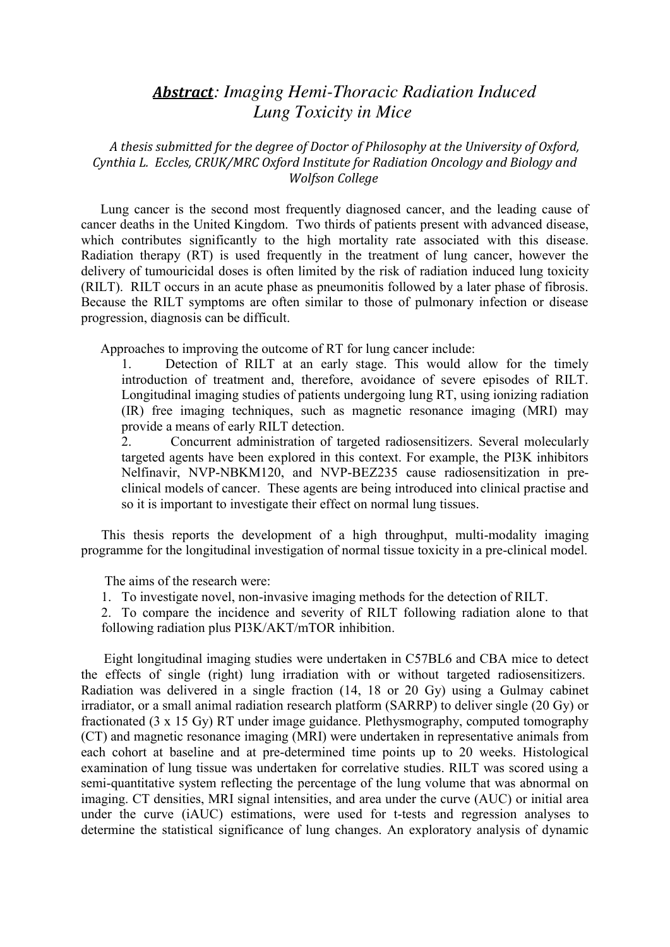## *Abstract: Imaging Hemi-Thoracic Radiation Induced Lung Toxicity in Mice*

*A thesis submitted for the degree of Doctor of Philosophy at the University of Oxford, Cynthia L. Eccles, CRUK/MRC Oxford Institute for Radiation Oncology and Biology and Wolfson College*

Lung cancer is the second most frequently diagnosed cancer, and the leading cause of cancer deaths in the United Kingdom. Two thirds of patients present with advanced disease, which contributes significantly to the high mortality rate associated with this disease. Radiation therapy (RT) is used frequently in the treatment of lung cancer, however the delivery of tumouricidal doses is often limited by the risk of radiation induced lung toxicity (RILT). RILT occurs in an acute phase as pneumonitis followed by a later phase of fibrosis. Because the RILT symptoms are often similar to those of pulmonary infection or disease progression, diagnosis can be difficult.

Approaches to improving the outcome of RT for lung cancer include:

1. Detection of RILT at an early stage. This would allow for the timely introduction of treatment and, therefore, avoidance of severe episodes of RILT. Longitudinal imaging studies of patients undergoing lung RT, using ionizing radiation (IR) free imaging techniques, such as magnetic resonance imaging (MRI) may provide a means of early RILT detection.

2. Concurrent administration of targeted radiosensitizers. Several molecularly targeted agents have been explored in this context. For example, the PI3K inhibitors Nelfinavir, NVP-NBKM120, and NVP-BEZ235 cause radiosensitization in preclinical models of cancer. These agents are being introduced into clinical practise and so it is important to investigate their effect on normal lung tissues.

This thesis reports the development of a high throughput, multi-modality imaging programme for the longitudinal investigation of normal tissue toxicity in a pre-clinical model.

The aims of the research were:

1. To investigate novel, non-invasive imaging methods for the detection of RILT.

2. To compare the incidence and severity of RILT following radiation alone to that following radiation plus PI3K/AKT/mTOR inhibition.

Eight longitudinal imaging studies were undertaken in C57BL6 and CBA mice to detect the effects of single (right) lung irradiation with or without targeted radiosensitizers. Radiation was delivered in a single fraction (14, 18 or 20 Gy) using a Gulmay cabinet irradiator, or a small animal radiation research platform (SARRP) to deliver single (20 Gy) or fractionated (3 x 15 Gy) RT under image guidance. Plethysmography, computed tomography (CT) and magnetic resonance imaging (MRI) were undertaken in representative animals from each cohort at baseline and at pre-determined time points up to 20 weeks. Histological examination of lung tissue was undertaken for correlative studies. RILT was scored using a semi-quantitative system reflecting the percentage of the lung volume that was abnormal on imaging. CT densities, MRI signal intensities, and area under the curve (AUC) or initial area under the curve (iAUC) estimations, were used for t-tests and regression analyses to determine the statistical significance of lung changes. An exploratory analysis of dynamic